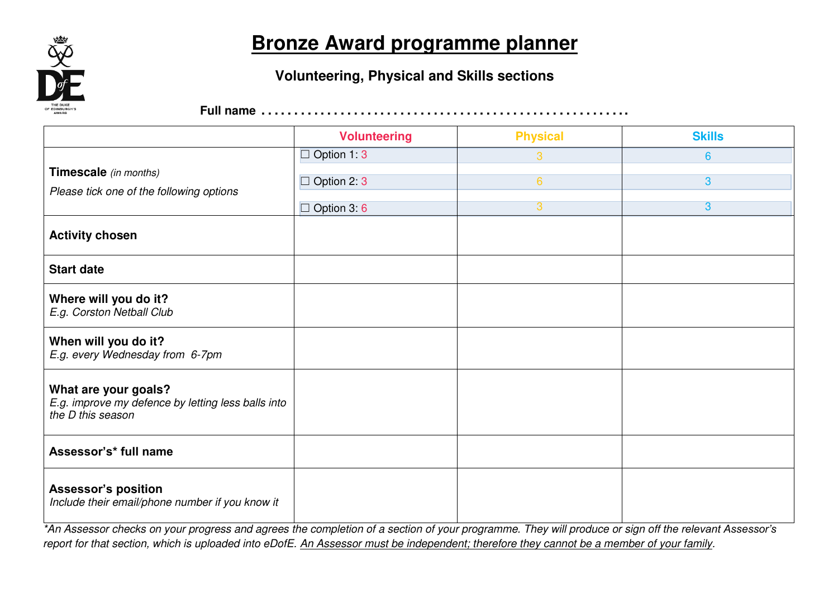

### **Bronze Award programme planner**

#### **Volunteering, Physical and Skills sections**

**Full name** ………………………………………………..

|                                                                                                 | <b>Volunteering</b>  | <b>Physical</b> | <b>Skills</b>  |
|-------------------------------------------------------------------------------------------------|----------------------|-----------------|----------------|
|                                                                                                 | $\Box$ Option 1: 3   | 3               | $6\phantom{a}$ |
| Timescale (in months)<br>Please tick one of the following options                               | Option 2: 3          | $6\overline{6}$ | 3              |
|                                                                                                 | Option 3:6<br>$\Box$ | 3               | $\overline{3}$ |
| <b>Activity chosen</b>                                                                          |                      |                 |                |
| <b>Start date</b>                                                                               |                      |                 |                |
| Where will you do it?<br>E.g. Corston Netball Club                                              |                      |                 |                |
| When will you do it?<br>E.g. every Wednesday from 6-7pm                                         |                      |                 |                |
| What are your goals?<br>E.g. improve my defence by letting less balls into<br>the D this season |                      |                 |                |
| Assessor's* full name                                                                           |                      |                 |                |
| <b>Assessor's position</b><br>Include their email/phone number if you know it                   |                      |                 |                |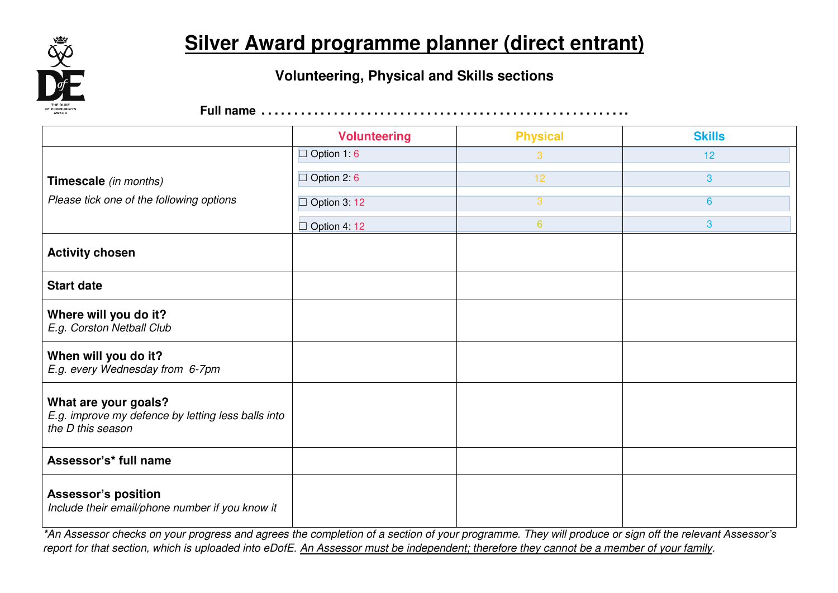

# **Silver Award programme planner (direct entrant)**

#### **Volunteering, Physical and Skills sections**

**Full name** ………………………………………………..

|                                                                                                 | <b>Volunteering</b> | <b>Physical</b> | <b>Skills</b>   |
|-------------------------------------------------------------------------------------------------|---------------------|-----------------|-----------------|
|                                                                                                 | $\Box$ Option 1 6   | 3               | 12              |
| Timescale (in months)                                                                           | $\Box$ Option 2 6   | 12              | 3               |
| Please tick one of the following options                                                        | $\Box$ Option 3: 12 | 3               | $6\overline{6}$ |
|                                                                                                 | $\Box$ Option 4: 12 | $6\phantom{a}$  | 3               |
| <b>Activity chosen</b>                                                                          |                     |                 |                 |
| <b>Start date</b>                                                                               |                     |                 |                 |
| Where will you do it?<br>E.g. Corston Netball Club                                              |                     |                 |                 |
| When will you do it?<br>E.g. every Wednesday from 6-7pm                                         |                     |                 |                 |
| What are your goals?<br>E.g. improve my defence by letting less balls into<br>the D this season |                     |                 |                 |
| Assessor's* full name                                                                           |                     |                 |                 |
| <b>Assessor's position</b><br>Include their email/phone number if you know it                   |                     |                 |                 |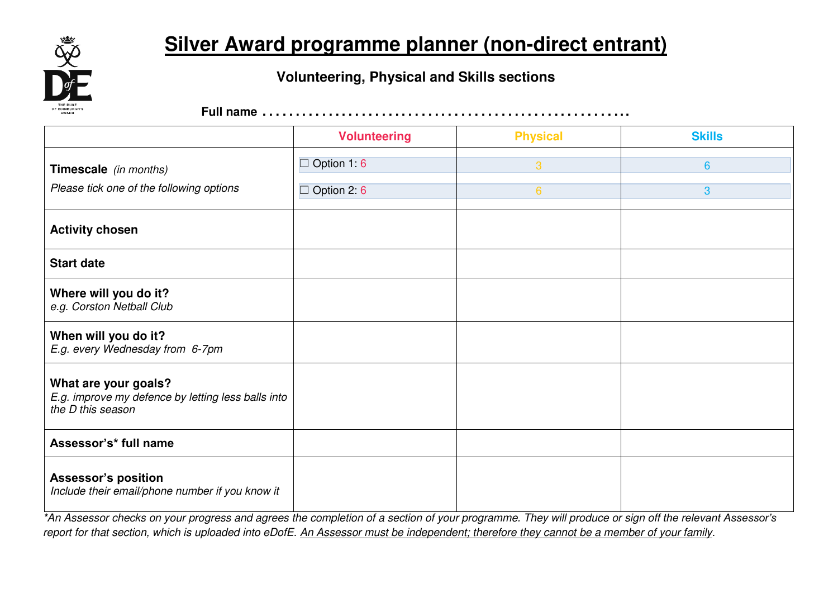

## **Silver Award programme planner (non-direct entrant)**

### **Volunteering, Physical and Skills sections**

**Full name** ………………………………………………..

|                                                                                                 | <b>Volunteering</b>  | <b>Physical</b> | <b>Skills</b>   |
|-------------------------------------------------------------------------------------------------|----------------------|-----------------|-----------------|
| Timescale (in months)                                                                           | Option 1:6<br>$\Box$ | 3               | $6\overline{6}$ |
| Please tick one of the following options                                                        | $\Box$ Option 2: 6   | $6\phantom{1}$  | 3               |
| <b>Activity chosen</b>                                                                          |                      |                 |                 |
| <b>Start date</b>                                                                               |                      |                 |                 |
| Where will you do it?<br>e.g. Corston Netball Club                                              |                      |                 |                 |
| When will you do it?<br>E.g. every Wednesday from 6-7pm                                         |                      |                 |                 |
| What are your goals?<br>E.g. improve my defence by letting less balls into<br>the D this season |                      |                 |                 |
| Assessor's* full name                                                                           |                      |                 |                 |
| <b>Assessor's position</b><br>Include their email/phone number if you know it                   |                      |                 |                 |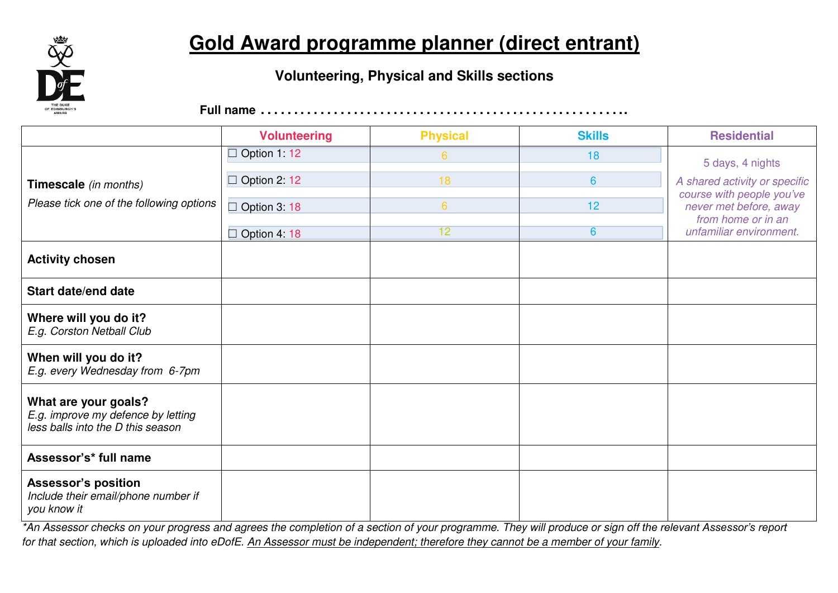

# **Gold Award programme planner (direct entrant)**

### **Volunteering, Physical and Skills sections**

**Full name** ………………………………………………..

|                                                                                                 | <b>Volunteering</b> | <b>Physical</b> | <b>Skills</b>   | <b>Residential</b>                                                                                   |
|-------------------------------------------------------------------------------------------------|---------------------|-----------------|-----------------|------------------------------------------------------------------------------------------------------|
|                                                                                                 | $\Box$ Option 1: 12 | $6^{\circ}$     | 18              | 5 days, 4 nights                                                                                     |
| Timescale (in months)                                                                           | $\Box$ Option 2: 12 | 18              | $6\phantom{1}6$ | A shared activity or specific                                                                        |
| Please tick one of the following options                                                        | $\Box$ Option 3:18  | 6               | 12              | course with people you've<br>never met before, away<br>from home or in an<br>unfamiliar environment. |
|                                                                                                 | $\Box$ Option 4:18  | 12              | $6\overline{6}$ |                                                                                                      |
| <b>Activity chosen</b>                                                                          |                     |                 |                 |                                                                                                      |
| Start date/end date                                                                             |                     |                 |                 |                                                                                                      |
| Where will you do it?<br>E.g. Corston Netball Club                                              |                     |                 |                 |                                                                                                      |
| When will you do it?<br>E.g. every Wednesday from 6-7pm                                         |                     |                 |                 |                                                                                                      |
| What are your goals?<br>E.g. improve my defence by letting<br>less balls into the D this season |                     |                 |                 |                                                                                                      |
| Assessor's* full name                                                                           |                     |                 |                 |                                                                                                      |
| <b>Assessor's position</b><br>Include their email/phone number if<br>you know it                |                     |                 |                 |                                                                                                      |